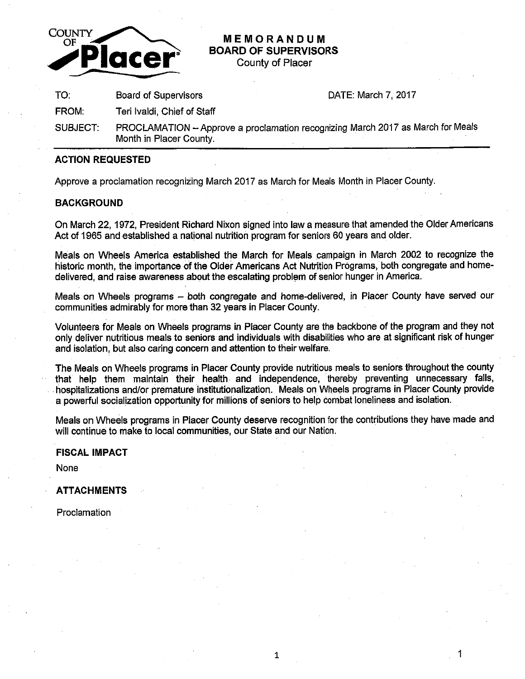

# **MEMORANDUM BOARD OF SUPERVISORS**

County of Placer

TO: Board of Supervisors DATE: March 7, 2017

FROM: Teri lvaldi, Chief of Staff

SUBJECT: PROCLAMATION - Approve a proclamation recognizing March 2017 as March for Meals Month in Placer County.

## **ACTION REQUESTED**

Approve a proclamation recognizing March 2017 as March for Meals Month in Placer County.

### **BACKGROUND**

On March 22, 1972, President Richard Nixon signed into law a measure that amended the Older Americans Act of 1965 and established a national nutrition program for seniors 60 years and older.

Meals on Wheels America established the March for Meals campaign in March 2002 to recognize the historic month, the importance of the Older Americans Act Nutrition Programs, both congregate and homedelivered, and raise awareness about the escalating problem of senior hunger in America.

Meals on Wheels programs - both congregate and home-delivered, in Placer County have served our communities admirably for more than 32 years in Placer County.

Volunteers for Meals on Wheels programs in Placer County are the backbone of the program and they not only deliver nutritious meals to seniors and individuals with disabilities who are at significant risk of hunger and isolation, but also caring concern and attention to their welfare.

The Meals on Wheels programs in Placer County provide nutritious meals to seniors throughout the county that help them maintain their health and independence, thereby preventing unnecessary falls, . hospitalizations and/or premature institutionalization. Meals on Wheels programs in Placer County provide a powerful socialization opportunity for millions of seniors to help combat loneliness and isolation.

Meals on Wheels programs in Placer County deserve recognition for the contributions they have made and will continue to make to local communities, our State and our Nation.

### **FISCAL IMPACT**

None

### **ATTACHMENTS**

Proclamation

1